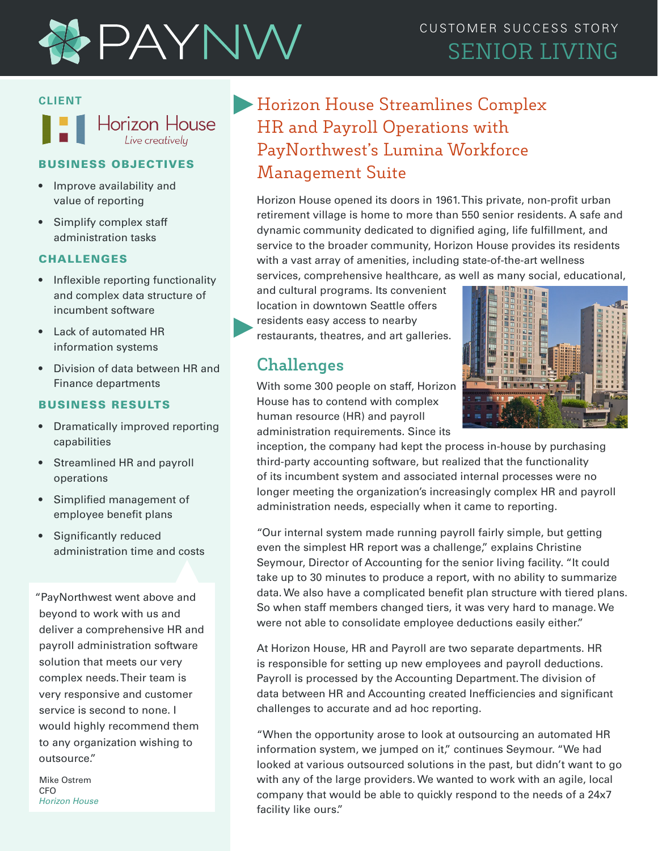

## CUSTOMER SUCCESS STORY SENIOR LIVING

#### **CLIENT**



#### BUSINESS OBJECTIVES

- Improve availability and value of reporting
- Simplify complex staff administration tasks

#### CHALLENGES

- Inflexible reporting functionality and complex data structure of incumbent software
- Lack of automated HR information systems
- Division of data between HR and Finance departments

#### BUSINESS RESULTS

- Dramatically improved reporting capabilities
- Streamlined HR and payroll operations
- Simplified management of employee benefit plans
- Significantly reduced administration time and costs

"PayNorthwest went above and beyond to work with us and deliver a comprehensive HR and payroll administration software solution that meets our very complex needs. Their team is very responsive and customer service is second to none. I would highly recommend them to any organization wishing to outsource."

Mike Ostrem C<sub>FO</sub> *Horizon House*

# Horizon House Streamlines Complex HR and Payroll Operations with PayNorthwest's Lumina Workforce Management Suite

Horizon House opened its doors in 1961. This private, non-profit urban retirement village is home to more than 550 senior residents. A safe and dynamic community dedicated to dignified aging, life fulfillment, and service to the broader community, Horizon House provides its residents with a vast array of amenities, including state-of-the-art wellness services, comprehensive healthcare, as well as many social, educational,

and cultural programs. Its convenient location in downtown Seattle offers residents easy access to nearby restaurants, theatres, and art galleries.

### **Challenges**

With some 300 people on staff, Horizon House has to contend with complex human resource (HR) and payroll administration requirements. Since its



inception, the company had kept the process in-house by purchasing third-party accounting software, but realized that the functionality of its incumbent system and associated internal processes were no longer meeting the organization's increasingly complex HR and payroll administration needs, especially when it came to reporting.

"Our internal system made running payroll fairly simple, but getting even the simplest HR report was a challenge," explains Christine Seymour, Director of Accounting for the senior living facility. "It could take up to 30 minutes to produce a report, with no ability to summarize data. We also have a complicated benefit plan structure with tiered plans. So when staff members changed tiers, it was very hard to manage. We were not able to consolidate employee deductions easily either."

At Horizon House, HR and Payroll are two separate departments. HR is responsible for setting up new employees and payroll deductions. Payroll is processed by the Accounting Department. The division of data between HR and Accounting created Inefficiencies and significant challenges to accurate and ad hoc reporting.

"When the opportunity arose to look at outsourcing an automated HR information system, we jumped on it," continues Seymour. "We had looked at various outsourced solutions in the past, but didn't want to go with any of the large providers. We wanted to work with an agile, local company that would be able to quickly respond to the needs of a 24x7 facility like ours."